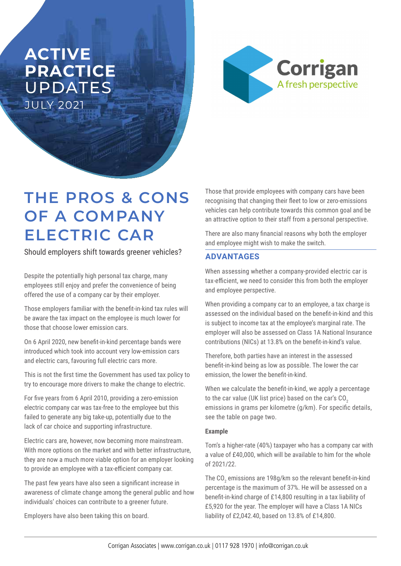## **ACTIVE PRACTICE**  UPDATES JULY 2021



# **THE PROS & CONS OF A COMPANY ELECTRIC CAR**

Should employers shift towards greener vehicles?

Despite the potentially high personal tax charge, many employees still enjoy and prefer the convenience of being offered the use of a company car by their employer.

Those employers familiar with the benefit-in-kind tax rules will be aware the tax impact on the employee is much lower for those that choose lower emission cars.

On 6 April 2020, new benefit-in-kind percentage bands were introduced which took into account very low-emission cars and electric cars, favouring full electric cars more.

This is not the first time the Government has used tax policy to try to encourage more drivers to make the change to electric.

For five years from 6 April 2010, providing a zero-emission electric company car was tax-free to the employee but this failed to generate any big take-up, potentially due to the lack of car choice and supporting infrastructure.

Electric cars are, however, now becoming more mainstream. With more options on the market and with better infrastructure, they are now a much more viable option for an employer looking to provide an employee with a tax-efficient company car.

The past few years have also seen a significant increase in awareness of climate change among the general public and how individuals' choices can contribute to a greener future.

Employers have also been taking this on board.

Those that provide employees with company cars have been recognising that changing their fleet to low or zero-emissions vehicles can help contribute towards this common goal and be an attractive option to their staff from a personal perspective.

There are also many financial reasons why both the employer and employee might wish to make the switch.

### **ADVANTAGES**

When assessing whether a company-provided electric car is tax-efficient, we need to consider this from both the employer and employee perspective.

When providing a company car to an employee, a tax charge is assessed on the individual based on the benefit-in-kind and this is subject to income tax at the employee's marginal rate. The employer will also be assessed on Class 1A National Insurance contributions (NICs) at 13.8% on the benefit-in-kind's value.

Therefore, both parties have an interest in the assessed benefit-in-kind being as low as possible. The lower the car emission, the lower the benefit-in-kind.

When we calculate the benefit-in-kind, we apply a percentage to the car value (UK list price) based on the car's CO<sub>2</sub> emissions in grams per kilometre (g/km). For specific details, see the table on page two.

### **Example**

Tom's a higher-rate (40%) taxpayer who has a company car with a value of £40,000, which will be available to him for the whole of 2021/22.

The CO<sub>2</sub> emissions are 198g/km so the relevant benefit-in-kind percentage is the maximum of 37%. He will be assessed on a benefit-in-kind charge of £14,800 resulting in a tax liability of £5,920 for the year. The employer will have a Class 1A NICs liability of £2,042.40, based on 13.8% of £14,800.